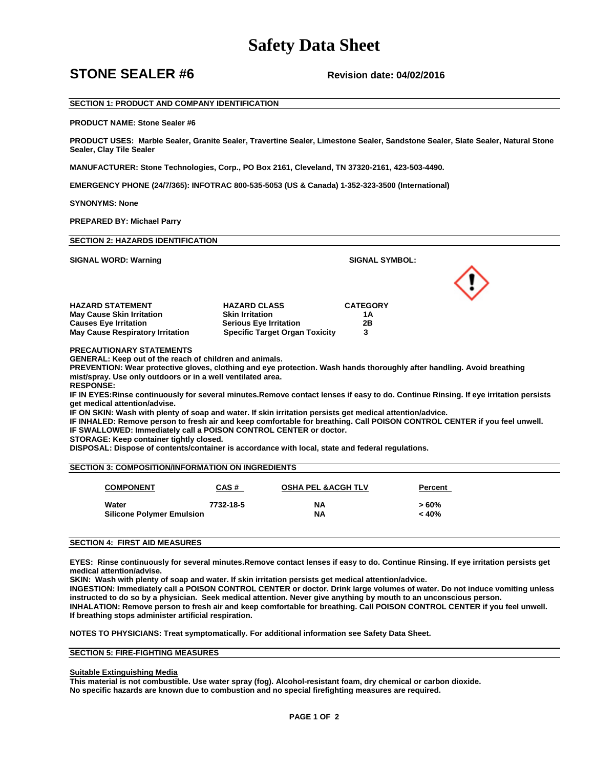## **Safety Data Sheet**

### **STONE SEALER #6** Revision date: 04/02/2016

### **SECTION 1: PRODUCT AND COMPANY IDENTIFICATION**

#### **PRODUCT NAME: Stone Sealer #6**

**PRODUCT USES: Marble Sealer, Granite Sealer, Travertine Sealer, Limestone Sealer, Sandstone Sealer, Slate Sealer, Natural Stone Sealer, Clay Tile Sealer** 

**MANUFACTURER: Stone Technologies, Corp., PO Box 2161, Cleveland, TN 37320-2161, 423-503-4490.** 

**EMERGENCY PHONE (24/7/365): INFOTRAC 800-535-5053 (US & Canada) 1-352-323-3500 (International)**

**SYNONYMS: None**

**PREPARED BY: Michael Parry** 

| <b>SECTION 2: HAZARDS IDENTIFICATION</b>                       |                                       |                       |  |
|----------------------------------------------------------------|---------------------------------------|-----------------------|--|
| <b>SIGNAL WORD: Warning</b>                                    |                                       | <b>SIGNAL SYMBOL:</b> |  |
|                                                                |                                       |                       |  |
| <b>HAZARD STATEMENT</b>                                        | <b>HAZARD CLASS</b>                   | <b>CATEGORY</b>       |  |
| <b>May Cause Skin Irritation</b>                               | <b>Skin Irritation</b>                | 1Α                    |  |
| <b>Causes Eye Irritation</b>                                   | <b>Serious Eye Irritation</b>         | 2Β                    |  |
| <b>May Cause Respiratory Irritation</b>                        | <b>Specific Target Organ Toxicity</b> | 3                     |  |
| <b>PRECAUTIONARY STATEMENTS</b>                                |                                       |                       |  |
| <b>GENERAL: Keep out of the reach of children and animals.</b> |                                       |                       |  |

**PREVENTION: Wear protective gloves, clothing and eye protection. Wash hands thoroughly after handling. Avoid breathing mist/spray. Use only outdoors or in a well ventilated area.**

**RESPONSE:** 

**IF IN EYES:Rinse continuously for several minutes.Remove contact lenses if easy to do. Continue Rinsing. If eye irritation persists get medical attention/advise.** 

**IF ON SKIN: Wash with plenty of soap and water. If skin irritation persists get medical attention/advice.**

**IF INHALED: Remove person to fresh air and keep comfortable for breathing. Call POISON CONTROL CENTER if you feel unwell.**

**IF SWALLOWED: Immediately call a POISON CONTROL CENTER or doctor.** 

**STORAGE: Keep container tightly closed.**

**DISPOSAL: Dispose of contents/container is accordance with local, state and federal regulations.** 

#### **SECTION 3: COMPOSITION/INFORMATION ON INGREDIENTS**

| <b>COMPONENT</b>                          | CAS#      | <b>OSHA PEL &amp; ACGH TLV</b> | Percent          |  |
|-------------------------------------------|-----------|--------------------------------|------------------|--|
| Water<br><b>Silicone Polymer Emulsion</b> | 7732-18-5 | NΑ<br><b>NA</b>                | $>60\%$<br>< 40% |  |

#### **SECTION 4: FIRST AID MEASURES**

**EYES: Rinse continuously for several minutes.Remove contact lenses if easy to do. Continue Rinsing. If eye irritation persists get medical attention/advise.**

**SKIN: Wash with plenty of soap and water. If skin irritation persists get medical attention/advice.**

**INGESTION: Immediately call a POISON CONTROL CENTER or doctor. Drink large volumes of water. Do not induce vomiting unless instructed to do so by a physician. Seek medical attention. Never give anything by mouth to an unconscious person. INHALATION: Remove person to fresh air and keep comfortable for breathing. Call POISON CONTROL CENTER if you feel unwell. If breathing stops administer artificial respiration.**

**NOTES TO PHYSICIANS: Treat symptomatically. For additional information see Safety Data Sheet.**

#### **SECTION 5: FIRE-FIGHTING MEASURES**

#### **Suitable Extinguishing Media**

**This material is not combustible. Use water spray (fog). Alcohol-resistant foam, dry chemical or carbon dioxide. No specific hazards are known due to combustion and no special firefighting measures are required.**